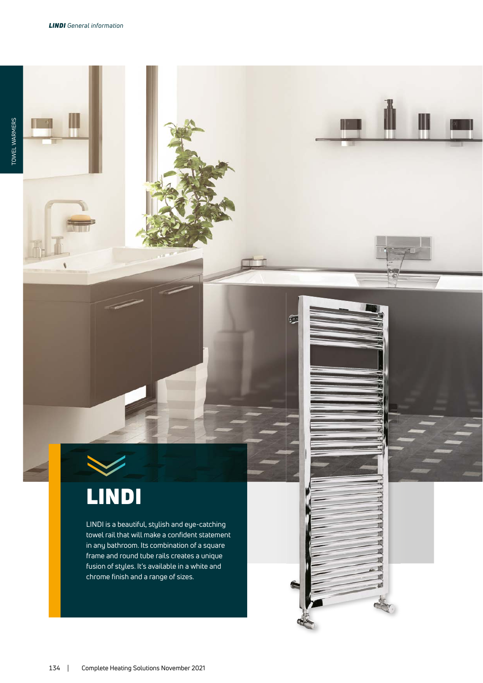## LINDI

LINDI is a beautiful, stylish and eye-catching towel rail that will make a confident statement in any bathroom. Its combination of a square frame and round tube rails creates a unique fusion of styles. It's available in a white and chrome finish and a range of sizes.

∭